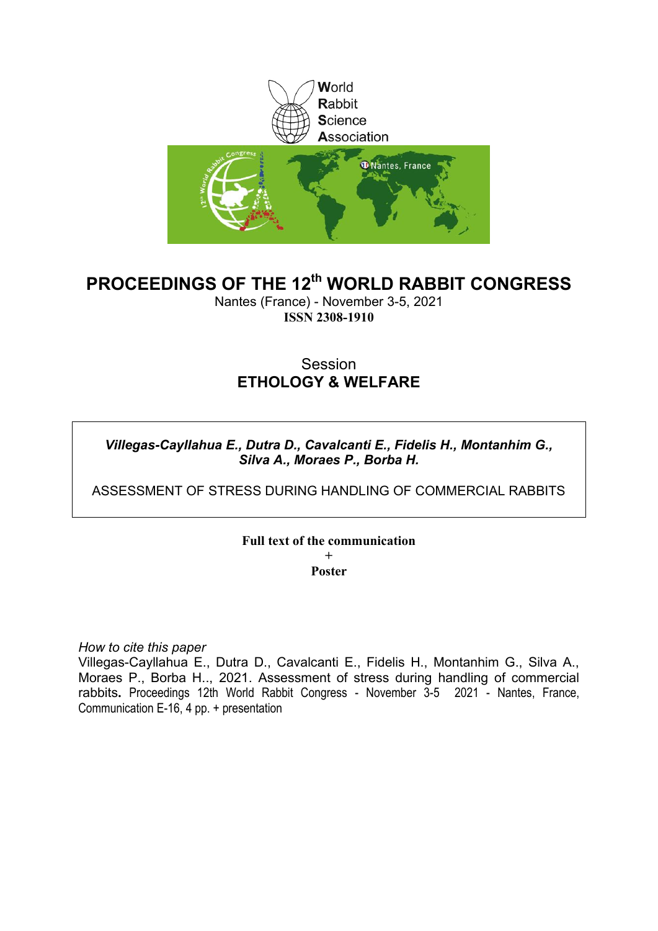

## **PROCEEDINGS OF THE 12th WORLD RABBIT CONGRESS**

Nantes (France) - November 3-5, 2021 **ISSN 2308-1910**

## **Session ETHOLOGY & WELFARE**

## *Villegas-Cayllahua E., Dutra D., Cavalcanti E., Fidelis H., Montanhim G., Silva A., Moraes P., Borba H.*

ASSESSMENT OF STRESS DURING HANDLING OF COMMERCIAL RABBITS

### **Full text of the communication**

**+ Poster**

*How to cite this paper*

Villegas-Cayllahua E., Dutra D., Cavalcanti E., Fidelis H., Montanhim G., Silva A., Moraes P., Borba H.., 2021. Assessment of stress during handling of commercial rabbits**.** Proceedings 12th World Rabbit Congress - November 3-5 2021 - Nantes, France, Communication E-16, 4 pp. + presentation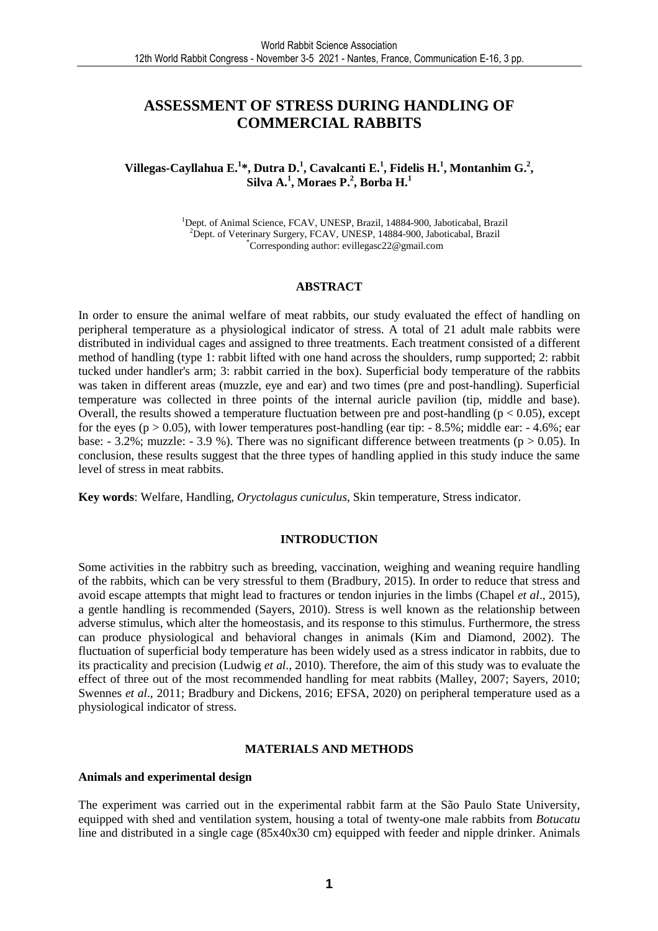## **ASSESSMENT OF STRESS DURING HANDLING OF COMMERCIAL RABBITS**

#### **Villegas-Cayllahua E.<sup>1</sup> \*, Dutra D.<sup>1</sup> , Cavalcanti E.<sup>1</sup> , Fidelis H.<sup>1</sup> , Montanhim G.<sup>2</sup> , Silva A.<sup>1</sup> , Moraes P.<sup>2</sup> , Borba H.<sup>1</sup>**

<sup>1</sup>Dept. of Animal Science, FCAV, UNESP, Brazil, 14884-900, Jaboticabal, Brazil <sup>2</sup>Dept. of Veterinary Surgery, FCAV, UNESP, 14884-900, Jaboticabal, Brazil \*Corresponding author: evillegasc22@gmail.com

#### **ABSTRACT**

In order to ensure the animal welfare of meat rabbits, our study evaluated the effect of handling on peripheral temperature as a physiological indicator of stress. A total of 21 adult male rabbits were distributed in individual cages and assigned to three treatments. Each treatment consisted of a different method of handling (type 1: rabbit lifted with one hand across the shoulders, rump supported; 2: rabbit tucked under handler's arm; 3: rabbit carried in the box). Superficial body temperature of the rabbits was taken in different areas (muzzle, eye and ear) and two times (pre and post-handling). Superficial temperature was collected in three points of the internal auricle pavilion (tip, middle and base). Overall, the results showed a temperature fluctuation between pre and post-handling ( $p < 0.05$ ), except for the eyes ( $p > 0.05$ ), with lower temperatures post-handling (ear tip:  $-8.5\%$ ; middle ear:  $-4.6\%$ ; ear base:  $-3.2\%$ ; muzzle:  $-3.9\%$ ). There was no significant difference between treatments (p  $> 0.05$ ). In conclusion, these results suggest that the three types of handling applied in this study induce the same level of stress in meat rabbits.

**Key words**: Welfare, Handling, *Oryctolagus cuniculus*, Skin temperature, Stress indicator.

#### **INTRODUCTION**

Some activities in the rabbitry such as breeding, vaccination, weighing and weaning require handling of the rabbits, which can be very stressful to them (Bradbury, 2015). In order to reduce that stress and avoid escape attempts that might lead to fractures or tendon injuries in the limbs (Chapel *et al*., 2015), a gentle handling is recommended (Sayers, 2010). Stress is well known as the relationship between adverse stimulus, which alter the homeostasis, and its response to this stimulus. Furthermore, the stress can produce physiological and behavioral changes in animals (Kim and Diamond, 2002). The fluctuation of superficial body temperature has been widely used as a stress indicator in rabbits, due to its practicality and precision (Ludwig *et al*., 2010). Therefore, the aim of this study was to evaluate the effect of three out of the most recommended handling for meat rabbits (Malley, 2007; Sayers, 2010; Swennes *et al*., 2011; Bradbury and Dickens, 2016; EFSA, 2020) on peripheral temperature used as a physiological indicator of stress.

#### **MATERIALS AND METHODS**

#### **Animals and experimental design**

The experiment was carried out in the experimental rabbit farm at the São Paulo State University, equipped with shed and ventilation system, housing a total of twenty-one male rabbits from *Botucatu* line and distributed in a single cage (85x40x30 cm) equipped with feeder and nipple drinker. Animals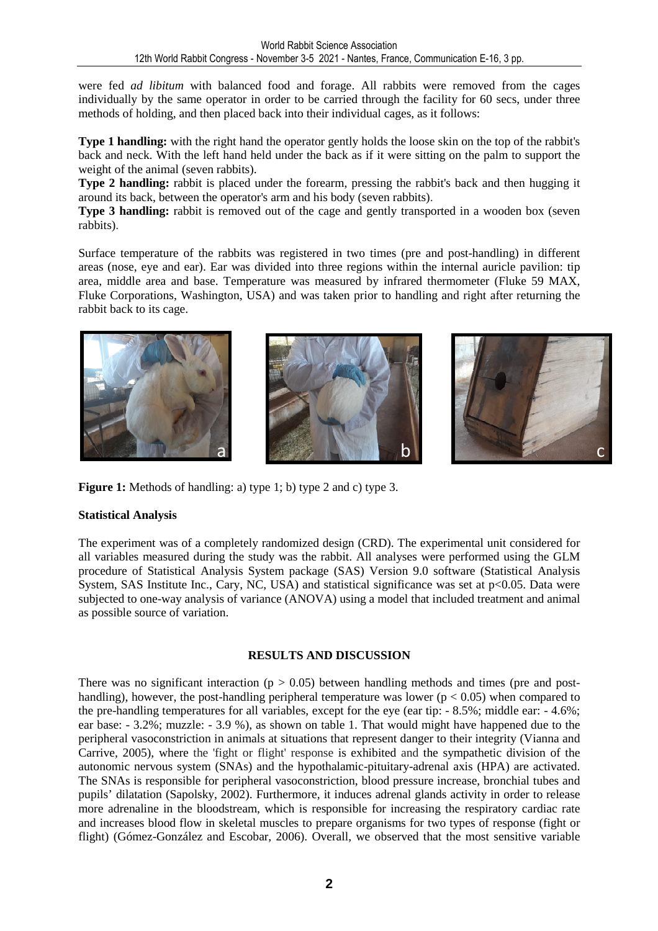were fed *ad libitum* with balanced food and forage. All rabbits were removed from the cages individually by the same operator in order to be carried through the facility for 60 secs, under three methods of holding, and then placed back into their individual cages, as it follows:

**Type 1 handling:** with the right hand the operator gently holds the loose skin on the top of the rabbit's back and neck. With the left hand held under the back as if it were sitting on the palm to support the weight of the animal (seven rabbits).

**Type 2 handling:** rabbit is placed under the forearm, pressing the rabbit's back and then hugging it around its back, between the operator's arm and his body (seven rabbits).

**Type 3 handling:** rabbit is removed out of the cage and gently transported in a wooden box (seven rabbits).

Surface temperature of the rabbits was registered in two times (pre and post-handling) in different areas (nose, eye and ear). Ear was divided into three regions within the internal auricle pavilion: tip area, middle area and base. Temperature was measured by infrared thermometer (Fluke 59 MAX, Fluke Corporations, Washington, USA) and was taken prior to handling and right after returning the rabbit back to its cage.



**Figure 1:** Methods of handling: a) type 1; b) type 2 and c) type 3.

#### **Statistical Analysis**

The experiment was of a completely randomized design (CRD). The experimental unit considered for all variables measured during the study was the rabbit. All analyses were performed using the GLM procedure of Statistical Analysis System package (SAS) Version 9.0 software (Statistical Analysis System, SAS Institute Inc., Cary, NC, USA) and statistical significance was set at  $p<0.05$ . Data were subjected to one-way analysis of variance (ANOVA) using a model that included treatment and animal as possible source of variation.

#### **RESULTS AND DISCUSSION**

There was no significant interaction ( $p > 0.05$ ) between handling methods and times (pre and posthandling), however, the post-handling peripheral temperature was lower ( $p < 0.05$ ) when compared to the pre-handling temperatures for all variables, except for the eye (ear tip: - 8.5%; middle ear: - 4.6%; ear base: - 3.2%; muzzle: - 3.9 %), as shown on table 1. That would might have happened due to the peripheral vasoconstriction in animals at situations that represent danger to their integrity (Vianna and Carrive, 2005), where the 'fight or flight' response is exhibited and the sympathetic division of the autonomic nervous system (SNAs) and the hypothalamic-pituitary-adrenal axis (HPA) are activated. The SNAs is responsible for peripheral vasoconstriction, blood pressure increase, bronchial tubes and pupils' dilatation (Sapolsky, 2002). Furthermore, it induces adrenal glands activity in order to release more adrenaline in the bloodstream, which is responsible for increasing the respiratory cardiac rate and increases blood flow in skeletal muscles to prepare organisms for two types of response (fight or flight) (Gómez-González and Escobar, 2006). Overall, we observed that the most sensitive variable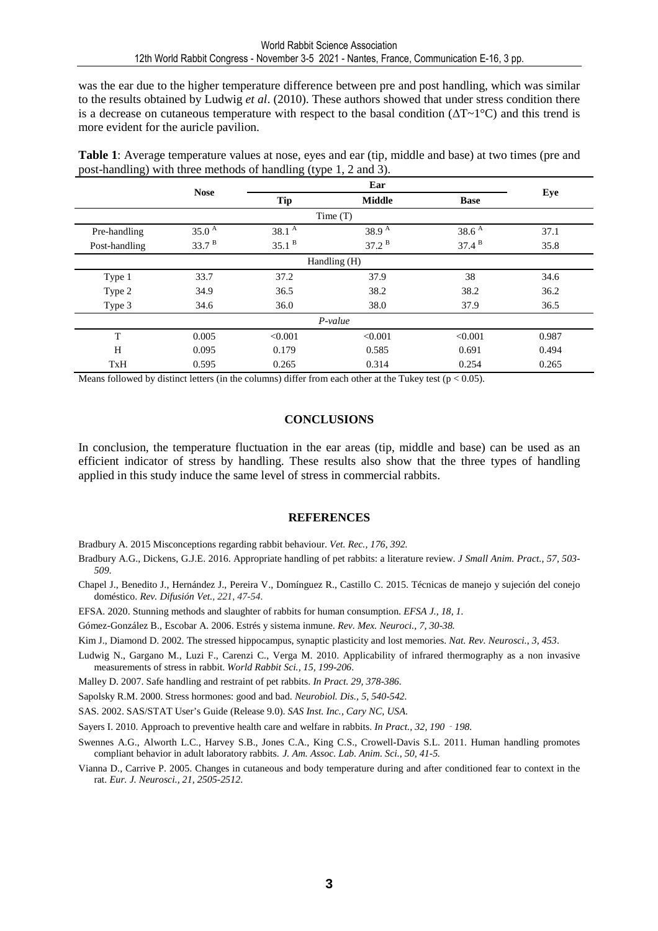was the ear due to the higher temperature difference between pre and post handling, which was similar to the results obtained by Ludwig *et al*. (2010). These authors showed that under stress condition there is a decrease on cutaneous temperature with respect to the basal condition ( $\Delta T \sim 1^{\circ}C$ ) and this trend is more evident for the auricle pavilion.

**Table 1**: Average temperature values at nose, eyes and ear (tip, middle and base) at two times (pre and post-handling) with three methods of handling (type 1, 2 and 3).

|               | <b>Nose</b>       | Ear               |                   |                   | Eye   |  |  |  |  |
|---------------|-------------------|-------------------|-------------------|-------------------|-------|--|--|--|--|
|               |                   | <b>Tip</b>        | <b>Middle</b>     | <b>Base</b>       |       |  |  |  |  |
| Time $(T)$    |                   |                   |                   |                   |       |  |  |  |  |
| Pre-handling  | 35.0 <sup>A</sup> | 38.1 <sup>A</sup> | 38.9 $^{\rm A}$   | 38.6 <sup>A</sup> | 37.1  |  |  |  |  |
| Post-handling | 33.7 <sup>B</sup> | 35.1 <sup>B</sup> | 37.2 <sup>B</sup> | 37.4 <sup>B</sup> | 35.8  |  |  |  |  |
| Handling (H)  |                   |                   |                   |                   |       |  |  |  |  |
| Type 1        | 33.7              | 37.2              | 37.9              | 38                | 34.6  |  |  |  |  |
| Type 2        | 34.9              | 36.5              | 38.2              | 38.2              | 36.2  |  |  |  |  |
| Type 3        | 34.6              | 36.0              | 38.0              | 37.9              | 36.5  |  |  |  |  |
|               |                   |                   | $P-value$         |                   |       |  |  |  |  |
| T             | 0.005             | < 0.001           | < 0.001           | < 0.001           | 0.987 |  |  |  |  |
| H             | 0.095             | 0.179             | 0.585             | 0.691             | 0.494 |  |  |  |  |
| TxH           | 0.595             | 0.265             | 0.314             | 0.254             | 0.265 |  |  |  |  |

Means followed by distinct letters (in the columns) differ from each other at the Tukey test ( $p < 0.05$ ).

#### **CONCLUSIONS**

In conclusion, the temperature fluctuation in the ear areas (tip, middle and base) can be used as an efficient indicator of stress by handling. These results also show that the three types of handling applied in this study induce the same level of stress in commercial rabbits.

#### **REFERENCES**

Bradbury A. 2015 Misconceptions regarding rabbit behaviour. *Vet. Rec., 176, 392.*

- Bradbury A.G., Dickens, G.J.E. 2016. Appropriate handling of pet rabbits: a literature review. *J Small Anim. Pract., 57, 503- 509*.
- Chapel J., Benedito J., Hernández J., Pereira V., Domínguez R., Castillo C. 2015. Técnicas de manejo y sujeción del conejo doméstico. *Rev. Difusión Vet., 221, 47-54.*
- EFSA. 2020. Stunning methods and slaughter of rabbits for human consumption. *EFSA J., 18, 1.*

Gómez-González B., Escobar A. 2006. Estrés y sistema inmune. *Rev. Mex. Neuroci., 7, 30-38.*

- Kim J., Diamond D. 2002. The stressed hippocampus, synaptic plasticity and lost memories. *Nat. Rev. Neurosci.*, *3, 453*.
- Ludwig N., Gargano M., Luzi F., Carenzi C., Verga M. 2010. Applicability of infrared thermography as a non invasive measurements of stress in rabbit. *World Rabbit Sci., 15, 199-206*.

Malley D. 2007. Safe handling and restraint of pet rabbits. *In Pract. 29, 378-386.*

Sapolsky R.M. 2000. Stress hormones: good and bad. *Neurobiol. Dis., 5, 540-542.* 

SAS. 2002. SAS/STAT User's Guide (Release 9.0). *SAS Inst. Inc., Cary NC, USA*.

- Sayers I. 2010. Approach to preventive health care and welfare in rabbits. *In Pract., 32, 190*‐*198.*
- Swennes A.G., Alworth L.C., Harvey S.B., Jones C.A., King C.S., Crowell-Davis S.L. 2011. Human handling promotes compliant behavior in adult laboratory rabbits. *J. Am. Assoc. Lab. Anim. Sci., 50, 41-5.*
- Vianna D., Carrive P. 2005. Changes in cutaneous and body temperature during and after conditioned fear to context in the rat. *Eur. J. Neurosci., 21, 2505-2512*.